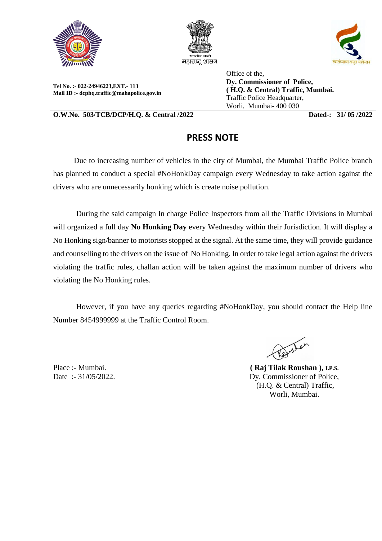





**Tel No. :- 022-24946223,EXT.- 113 Mail ID :- dcphq.traffic@mahapolice.gov.in** Office of the, **Dy. Commissioner of Police, ( H.Q. & Central) Traffic, Mumbai.**  Traffic Police Headquarter, Worli, Mumbai- 400 030

**O.W.No. 503/TCB/DCP/H.Q. & Central /2022 Dated-: 31/ 05 /2022**

## **PRESS NOTE**

 Due to increasing number of vehicles in the city of Mumbai, the Mumbai Traffic Police branch has planned to conduct a special #NoHonkDay campaign every Wednesday to take action against the drivers who are unnecessarily honking which is create noise pollution.

 During the said campaign In charge Police Inspectors from all the Traffic Divisions in Mumbai will organized a full day **No Honking Day** every Wednesday within their Jurisdiction. It will display a No Honking sign/banner to motorists stopped at the signal. At the same time, they will provide guidance and counselling to the drivers on the issue of No Honking. In order to take legal action against the drivers violating the traffic rules, challan action will be taken against the maximum number of drivers who violating the No Honking rules.

 However, if you have any queries regarding #NoHonkDay, you should contact the Help line Number 8454999999 at the Traffic Control Room.

Place :- Mumbai. Date :- 31/05/2022. Britar

**( Raj Tilak Roushan ), I.P.S.** Dy. Commissioner of Police, (H.Q. & Central) Traffic, Worli, Mumbai.